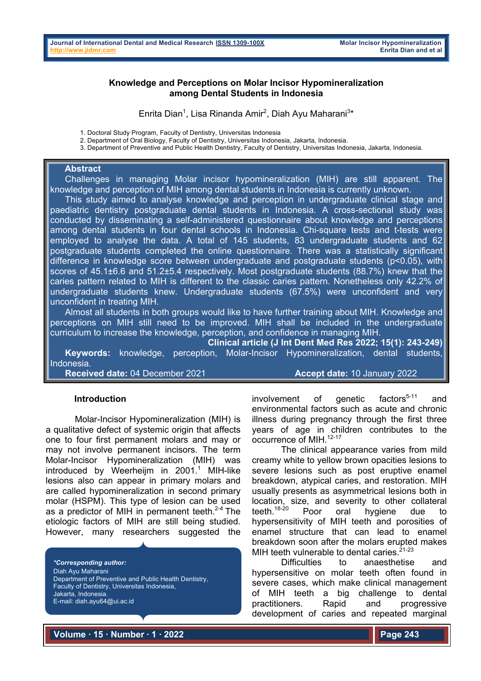# **Knowledge and Perceptions on Molar Incisor Hypomineralization among Dental Students in Indonesia**

Enrita Dian<sup>1</sup>, Lisa Rinanda Amir<sup>2</sup>, Diah Ayu Maharani<sup>3\*</sup>

1. Doctoral Study Program, Faculty of Dentistry, Universitas Indonesia

2. Department of Oral Biology, Faculty of Dentistry, Universitas Indonesia, Jakarta, Indonesia.

3. Department of Preventive and Public Health Dentistry, Faculty of Dentistry, Universitas Indonesia, Jakarta, Indonesia.

# **Abstract**

 Challenges in managing Molar incisor hypomineralization (MIH) are still apparent. The knowledge and perception of MIH among dental students in Indonesia is currently unknown.

 This study aimed to analyse knowledge and perception in undergraduate clinical stage and paediatric dentistry postgraduate dental students in Indonesia. A cross-sectional study was conducted by disseminating a self-administered questionnaire about knowledge and perceptions among dental students in four dental schools in Indonesia. Chi-square tests and t-tests were employed to analyse the data. A total of 145 students, 83 undergraduate students and 62 postgraduate students completed the online questionnaire. There was a statistically significant difference in knowledge score between undergraduate and postgraduate students (p<0.05), with scores of 45.1±6.6 and 51.2±5.4 respectively. Most postgraduate students (88.7%) knew that the caries pattern related to MIH is different to the classic caries pattern. Nonetheless only 42.2% of undergraduate students knew. Undergraduate students (67.5%) were unconfident and very unconfident in treating MIH.

 Almost all students in both groups would like to have further training about MIH. Knowledge and perceptions on MIH still need to be improved. MIH shall be included in the undergraduate curriculum to increase the knowledge, perception, and confidence in managing MIH.

**Clinical article (J Int Dent Med Res 2022; 15(1): 243-249)** 

 **Keywords:** knowledge, perception, Molar-Incisor Hypomineralization, dental students, Indonesia.

**Received date:** 04 December 2021 **Accept date:** 10 January 2022

### **Introduction**

Molar-Incisor Hypomineralization (MIH) is a qualitative defect of systemic origin that affects one to four first permanent molars and may or may not involve permanent incisors. The term Molar-Incisor Hypomineralization (MIH) was introduced by Weerheijm in  $2001<sup>1</sup>$  MIH-like lesions also can appear in primary molars and are called hypomineralization in second primary molar (HSPM). This type of lesion can be used as a predictor of MIH in permanent teeth. $2-4$  The etiologic factors of MIH are still being studied. However, many researchers suggested the

*\*Corresponding author:* Diah Ayu Maharani Department of Preventive and Public Health Dentistry, Faculty of Dentistry, Universitas Indonesia, Jakarta, Indonesia. E-mail: diah.ayu64@ui.ac.id

involvement of genetic factors $5-11$  and environmental factors such as acute and chronic illness during pregnancy through the first three years of age in children contributes to the occurrence of MIH.<sup>12-17</sup>

The clinical appearance varies from mild creamy white to yellow brown opacities lesions to severe lesions such as post eruptive enamel breakdown, atypical caries, and restoration. MIH usually presents as asymmetrical lesions both in location, size, and severity to other collateral teeth.<sup>18-20</sup> Poor oral hygiene due to hypersensitivity of MIH teeth and porosities of enamel structure that can lead to enamel breakdown soon after the molars erupted makes MIH teeth vulnerable to dental caries.  $21-23$ 

Difficulties to anaesthetise and hypersensitive on molar teeth often found in severe cases, which make clinical management of MIH teeth a big challenge to dental practitioners. Rapid and progressive development of caries and repeated marginal

**Volume ∙ 15 ∙ Number ∙ 1 ∙ 2022**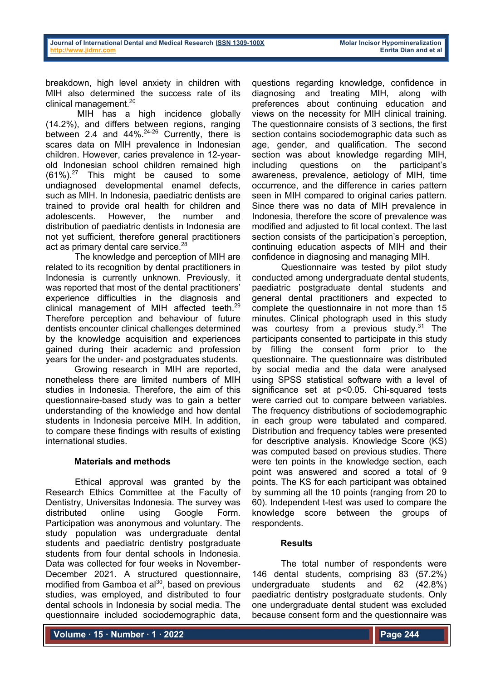breakdown, high level anxiety in children with MIH also determined the success rate of its clinical management.<sup>20</sup>

MIH has a high incidence globally (14.2%), and differs between regions, ranging between 2.4 and 44%.<sup>24-26</sup> Currently, there is scares data on MIH prevalence in Indonesian children. However, caries prevalence in 12-yearold Indonesian school children remained high  $(61\%)$ <sup>27</sup> This might be caused to some undiagnosed developmental enamel defects, such as MIH. In Indonesia, paediatric dentists are trained to provide oral health for children and adolescents. However, the number and distribution of paediatric dentists in Indonesia are not yet sufficient, therefore general practitioners act as primary dental care service.<sup>28</sup>

The knowledge and perception of MIH are related to its recognition by dental practitioners in Indonesia is currently unknown. Previously, it was reported that most of the dental practitioners' experience difficulties in the diagnosis and clinical management of MIH affected teeth.<sup>29</sup> Therefore perception and behaviour of future dentists encounter clinical challenges determined by the knowledge acquisition and experiences gained during their academic and profession years for the under- and postgraduates students.

Growing research in MIH are reported, nonetheless there are limited numbers of MIH studies in Indonesia. Therefore, the aim of this questionnaire-based study was to gain a better understanding of the knowledge and how dental students in Indonesia perceive MIH. In addition, to compare these findings with results of existing international studies.

# **Materials and methods**

Ethical approval was granted by the Research Ethics Committee at the Faculty of Dentistry, Universitas Indonesia. The survey was distributed online using Google Form. Participation was anonymous and voluntary. The study population was undergraduate dental students and paediatric dentistry postgraduate students from four dental schools in Indonesia. Data was collected for four weeks in November-December 2021. A structured questionnaire, modified from Gamboa et  $al^{30}$ , based on previous studies, was employed, and distributed to four dental schools in Indonesia by social media. The questionnaire included sociodemographic data,

questions regarding knowledge, confidence in diagnosing and treating MIH, along with preferences about continuing education and views on the necessity for MIH clinical training. The questionnaire consists of 3 sections, the first section contains sociodemographic data such as age, gender, and qualification. The second section was about knowledge regarding MIH, including questions on the participant's awareness, prevalence, aetiology of MIH, time occurrence, and the difference in caries pattern seen in MIH compared to original caries pattern. Since there was no data of MIH prevalence in Indonesia, therefore the score of prevalence was modified and adjusted to fit local context. The last section consists of the participation's perception, continuing education aspects of MIH and their confidence in diagnosing and managing MIH.

Questionnaire was tested by pilot study conducted among undergraduate dental students, paediatric postgraduate dental students and general dental practitioners and expected to complete the questionnaire in not more than 15 minutes. Clinical photograph used in this study was courtesy from a previous study.<sup>31</sup> The participants consented to participate in this study by filling the consent form prior to the questionnaire. The questionnaire was distributed by social media and the data were analysed using SPSS statistical software with a level of significance set at p<0.05. Chi-squared tests were carried out to compare between variables. The frequency distributions of sociodemographic in each group were tabulated and compared. Distribution and frequency tables were presented for descriptive analysis. Knowledge Score (KS) was computed based on previous studies. There were ten points in the knowledge section, each point was answered and scored a total of 9 points. The KS for each participant was obtained by summing all the 10 points (ranging from 20 to 60). Independent t-test was used to compare the knowledge score between the groups of respondents.

# **Results**

The total number of respondents were 146 dental students, comprising 83 (57.2%) undergraduate students and 62 (42.8%) paediatric dentistry postgraduate students. Only one undergraduate dental student was excluded because consent form and the questionnaire was

**Volume ∙ 15 ∙ Number ∙ 1 ∙ 2022**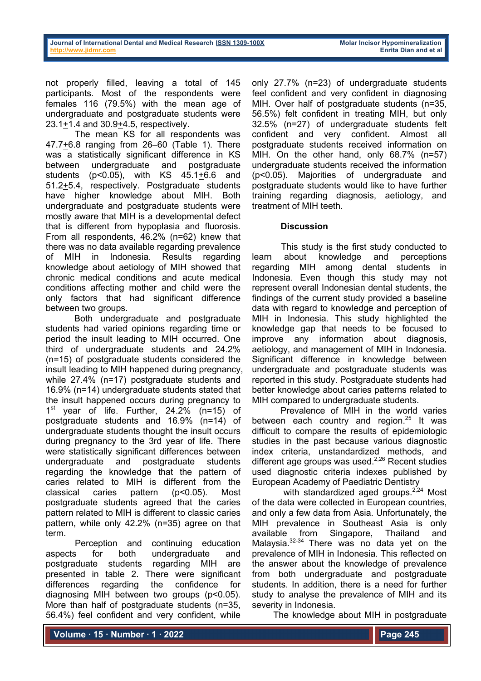not properly filled, leaving a total of 145 participants. Most of the respondents were females 116 (79.5%) with the mean age of undergraduate and postgraduate students were 23.1+1.4 and 30.9+4.5, respectively.

The mean KS for all respondents was 47.7+6.8 ranging from 26–60 (Table 1). There was a statistically significant difference in KS between undergraduate and postgraduate students (p<0.05), with KS 45.1+6.6 and 51.2+5.4, respectively. Postgraduate students have higher knowledge about MIH. Both undergraduate and postgraduate students were mostly aware that MIH is a developmental defect that is different from hypoplasia and fluorosis. From all respondents, 46.2% (n=62) knew that there was no data available regarding prevalence of MIH in Indonesia. Results regarding knowledge about aetiology of MIH showed that chronic medical conditions and acute medical conditions affecting mother and child were the only factors that had significant difference between two groups.

Both undergraduate and postgraduate students had varied opinions regarding time or period the insult leading to MIH occurred. One third of undergraduate students and 24.2% (n=15) of postgraduate students considered the insult leading to MIH happened during pregnancy, while 27.4% (n=17) postgraduate students and 16.9% (n=14) undergraduate students stated that the insult happened occurs during pregnancy to 1<sup>st</sup> year of life. Further, 24.2% (n=15) of postgraduate students and 16.9% (n=14) of undergraduate students thought the insult occurs during pregnancy to the 3rd year of life. There were statistically significant differences between undergraduate and postgraduate students regarding the knowledge that the pattern of caries related to MIH is different from the classical caries pattern (p<0.05). Most postgraduate students agreed that the caries pattern related to MIH is different to classic caries pattern, while only 42.2% (n=35) agree on that term.

Perception and continuing education aspects for both undergraduate and postgraduate students regarding MIH are presented in table 2. There were significant differences regarding the confidence for diagnosing MIH between two groups (p<0.05). More than half of postgraduate students (n=35, 56.4%) feel confident and very confident, while

only 27.7% (n=23) of undergraduate students feel confident and very confident in diagnosing MIH. Over half of postgraduate students (n=35, 56.5%) felt confident in treating MIH, but only 32.5% (n=27) of undergraduate students felt confident and very confident. Almost all postgraduate students received information on MIH. On the other hand, only 68.7% (n=57) undergraduate students received the information (p<0.05). Majorities of undergraduate and postgraduate students would like to have further training regarding diagnosis, aetiology, and treatment of MIH teeth.

# **Discussion**

This study is the first study conducted to learn about knowledge and perceptions regarding MIH among dental students in Indonesia. Even though this study may not represent overall Indonesian dental students, the findings of the current study provided a baseline data with regard to knowledge and perception of MIH in Indonesia. This study highlighted the knowledge gap that needs to be focused to improve any information about diagnosis, aetiology, and management of MIH in Indonesia. Significant difference in knowledge between undergraduate and postgraduate students was reported in this study. Postgraduate students had better knowledge about caries patterns related to MIH compared to undergraduate students.

Prevalence of MIH in the world varies between each country and region.<sup>25</sup> It was difficult to compare the results of epidemiologic studies in the past because various diagnostic index criteria, unstandardized methods, and different age groups was used.<sup>2,26</sup> Recent studies used diagnostic criteria indexes published by European Academy of Paediatric Dentistry

with standardized aged groups.<sup>2,24</sup> Most of the data were collected in European countries, and only a few data from Asia. Unfortunately, the MIH prevalence in Southeast Asia is only available from Singapore, Thailand and Malaysia.<sup>32-34</sup> There was no data yet on the prevalence of MIH in Indonesia. This reflected on the answer about the knowledge of prevalence from both undergraduate and postgraduate students. In addition, there is a need for further study to analyse the prevalence of MIH and its severity in Indonesia.

The knowledge about MIH in postgraduate

**Volume ∙ 15 ∙ Number ∙ 1 ∙ 2022**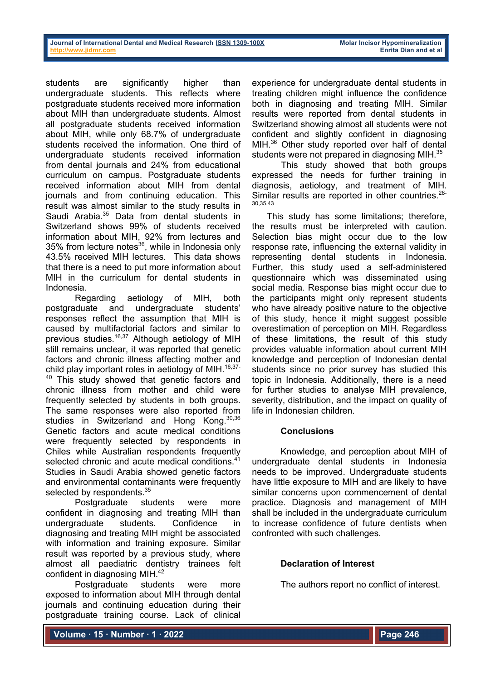students are significantly higher than undergraduate students. This reflects where postgraduate students received more information about MIH than undergraduate students. Almost all postgraduate students received information about MIH, while only 68.7% of undergraduate students received the information. One third of undergraduate students received information from dental journals and 24% from educational curriculum on campus. Postgraduate students received information about MIH from dental journals and from continuing education. This result was almost similar to the study results in Saudi Arabia.<sup>35</sup> Data from dental students in Switzerland shows 99% of students received information about MIH, 92% from lectures and  $35\%$  from lecture notes<sup>36</sup>, while in Indonesia only 43.5% received MIH lectures. This data shows that there is a need to put more information about MIH in the curriculum for dental students in Indonesia.

Regarding aetiology of MIH, both postgraduate and undergraduate students' responses reflect the assumption that MIH is caused by multifactorial factors and similar to previous studies.<sup>16,37</sup> Although aetiology of MIH still remains unclear, it was reported that genetic factors and chronic illness affecting mother and child play important roles in aetiology of MIH. $16,37-$ This study showed that genetic factors and chronic illness from mother and child were frequently selected by students in both groups. The same responses were also reported from studies in Switzerland and Hong Kong. 30,36 Genetic factors and acute medical conditions were frequently selected by respondents in Chiles while Australian respondents frequently selected chronic and acute medical conditions.<sup>41</sup> Studies in Saudi Arabia showed genetic factors and environmental contaminants were frequently selected by respondents. $^{35}$ 

Postgraduate students were more confident in diagnosing and treating MIH than undergraduate students. Confidence in diagnosing and treating MIH might be associated with information and training exposure. Similar result was reported by a previous study, where almost all paediatric dentistry trainees felt confident in diagnosing MIH.42

Postgraduate students were more exposed to information about MIH through dental journals and continuing education during their postgraduate training course. Lack of clinical

experience for undergraduate dental students in treating children might influence the confidence both in diagnosing and treating MIH. Similar results were reported from dental students in Switzerland showing almost all students were not confident and slightly confident in diagnosing MIH.<sup>36</sup> Other study reported over half of dental students were not prepared in diagnosing MIH.<sup>35</sup>

This study showed that both groups expressed the needs for further training in diagnosis, aetiology, and treatment of MIH. Similar results are reported in other countries.<sup>28-</sup> 30,35,43

 This study has some limitations; therefore, the results must be interpreted with caution. Selection bias might occur due to the low response rate, influencing the external validity in representing dental students in Indonesia. Further, this study used a self-administered questionnaire which was disseminated using social media. Response bias might occur due to the participants might only represent students who have already positive nature to the objective of this study, hence it might suggest possible overestimation of perception on MIH. Regardless of these limitations, the result of this study provides valuable information about current MIH knowledge and perception of Indonesian dental students since no prior survey has studied this topic in Indonesia. Additionally, there is a need for further studies to analyse MIH prevalence, severity, distribution, and the impact on quality of life in Indonesian children.

# **Conclusions**

Knowledge, and perception about MIH of undergraduate dental students in Indonesia needs to be improved. Undergraduate students have little exposure to MIH and are likely to have similar concerns upon commencement of dental practice. Diagnosis and management of MIH shall be included in the undergraduate curriculum to increase confidence of future dentists when confronted with such challenges.

# **Declaration of Interest**

The authors report no conflict of interest.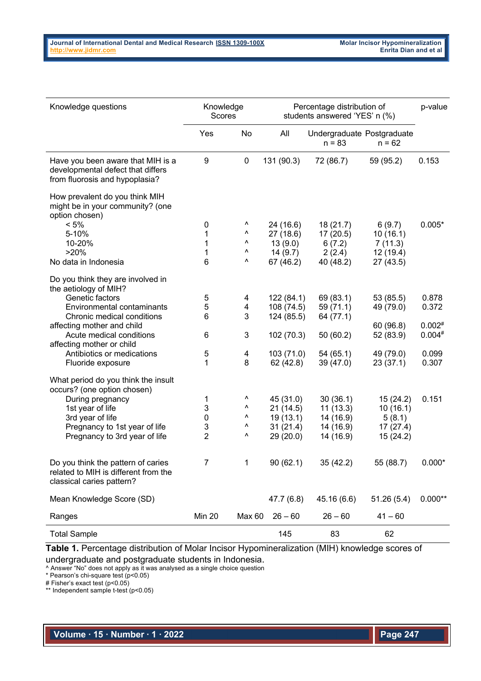| Knowledge questions                                                                                      | Knowledge<br><b>Scores</b> |             | Percentage distribution of<br>students answered 'YES' n (%) |                                        |            | p-value   |
|----------------------------------------------------------------------------------------------------------|----------------------------|-------------|-------------------------------------------------------------|----------------------------------------|------------|-----------|
|                                                                                                          | Yes                        | No          | All                                                         | Undergraduate Postgraduate<br>$n = 83$ | $n = 62$   |           |
| Have you been aware that MIH is a<br>developmental defect that differs<br>from fluorosis and hypoplasia? | 9                          | $\pmb{0}$   | 131 (90.3)                                                  | 72 (86.7)                              | 59 (95.2)  | 0.153     |
| How prevalent do you think MIH<br>might be in your community? (one<br>option chosen)                     |                            |             |                                                             |                                        |            |           |
| $< 5\%$                                                                                                  | 0                          | ۸           | 24 (16.6)                                                   | 18(21.7)                               | 6(9.7)     | $0.005*$  |
| 5-10%                                                                                                    | 1                          | ۸           | 27(18.6)                                                    | 17(20.5)                               | 10(16.1)   |           |
| 10-20%                                                                                                   | 1                          | ۸           | 13(9.0)                                                     | 6(7.2)                                 | 7(11.3)    |           |
| >20%                                                                                                     | 1                          | ۸           | 14(9.7)                                                     | 2(2.4)                                 | 12 (19.4)  |           |
| No data in Indonesia                                                                                     | 6                          | ٨           | 67 (46.2)                                                   | 40 (48.2)                              | 27 (43.5)  |           |
| Do you think they are involved in<br>the aetiology of MIH?                                               |                            |             |                                                             |                                        |            |           |
| Genetic factors                                                                                          | 5                          | 4           | 122(84.1)                                                   | 69 (83.1)                              | 53 (85.5)  | 0.878     |
| Environmental contaminants                                                                               | 5                          | 4           | 108 (74.5)                                                  | 59 (71.1)                              | 49 (79.0)  | 0.372     |
| Chronic medical conditions                                                                               | 6                          | 3           | 124 (85.5)                                                  | 64 (77.1)                              |            |           |
| affecting mother and child                                                                               |                            |             |                                                             |                                        | 60 (96.8)  | $0.002*$  |
| Acute medical conditions                                                                                 | 6                          | 3           | 102 (70.3)                                                  | 50 (60.2)                              | 52 (83.9)  | $0.004*$  |
| affecting mother or child                                                                                |                            |             |                                                             |                                        |            |           |
| Antibiotics or medications                                                                               | 5                          | 4           | 103 (71.0)                                                  | 54(65.1)                               | 49 (79.0)  | 0.099     |
| Fluoride exposure                                                                                        | 1                          | 8           | 62 (42.8)                                                   | 39 (47.0)                              | 23(37.1)   | 0.307     |
| What period do you think the insult<br>occurs? (one option chosen)                                       |                            |             |                                                             |                                        |            |           |
| During pregnancy                                                                                         | 1                          | ٨           | 45 (31.0)                                                   | 30(36.1)                               | 15(24.2)   | 0.151     |
| 1st year of life                                                                                         | 3                          | ۸           | 21(14.5)                                                    | 11(13.3)                               | 10(16.1)   |           |
| 3rd year of life                                                                                         | 0                          | ۸           | 19 (13.1)                                                   | 14 (16.9)                              | 5(8.1)     |           |
| Pregnancy to 1st year of life                                                                            | 3                          | ٨           | 31(21.4)                                                    | 14 (16.9)                              | 17(27.4)   |           |
| Pregnancy to 3rd year of life                                                                            | $\overline{2}$             | ۸           | 29 (20.0)                                                   | 14 (16.9)                              | 15(24.2)   |           |
| Do you think the pattern of caries<br>related to MIH is different from the<br>classical caries pattern?  |                            | $\mathbf 1$ | 90(62.1)                                                    | 35 (42.2)                              | 55 (88.7)  | $0.000*$  |
| Mean Knowledge Score (SD)                                                                                |                            |             | 47.7 (6.8)                                                  | 45.16 (6.6)                            | 51.26(5.4) | $0.000**$ |
| Ranges                                                                                                   | <b>Min 20</b>              | Max 60      | $26 - 60$                                                   | $26 - 60$                              | $41 - 60$  |           |
| <b>Total Sample</b>                                                                                      |                            |             | 145                                                         | 83                                     | 62         |           |

**Table 1.** Percentage distribution of Molar Incisor Hypomineralization (MIH) knowledge scores of undergraduate and postgraduate students in Indonesia.

^ Answer "No" does not apply as it was analysed as a single choice question

\* Pearson's chi-square test (p<0.05)

# Fisher's exact test (p<0.05)

\*\* Independent sample t-test (p<0.05)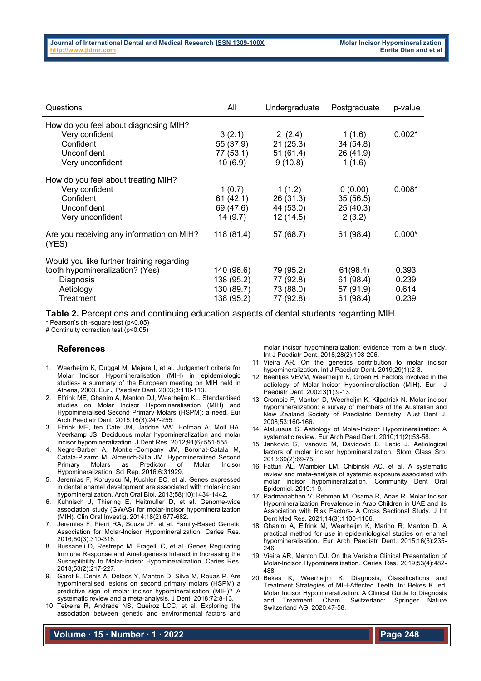| Questions                                                                                                           | All                                                  | Undergraduate                                    | Postgraduate                                    | p-value                          |
|---------------------------------------------------------------------------------------------------------------------|------------------------------------------------------|--------------------------------------------------|-------------------------------------------------|----------------------------------|
| How do you feel about diagnosing MIH?<br>Very confident<br>Confident<br>Unconfident<br>Very unconfident             | 3(2.1)<br>55 (37.9)<br>77 (53.1)<br>10(6.9)          | 2(2.4)<br>21(25.3)<br>51(61.4)<br>9(10.8)        | 1(1.6)<br>34(54.8)<br>26 (41.9)<br>1(1.6)       | $0.002*$                         |
| How do you feel about treating MIH?<br>Very confident<br>Confident<br>Unconfident<br>Very unconfident               | 1(0.7)<br>61(42.1)<br>69 (47.6)<br>14(9.7)           | 1(1.2)<br>26(31.3)<br>44 (53.0)<br>12(14.5)      | 0(0.00)<br>35(56.5)<br>25(40.3)<br>2(3.2)       | $0.008*$                         |
| Are you receiving any information on MIH?<br>(YES)                                                                  | 118 (81.4)                                           | 57 (68.7)                                        | 61 (98.4)                                       | $0.000^{#}$                      |
| Would you like further training regarding<br>tooth hypomineralization? (Yes)<br>Diagnosis<br>Aetiology<br>Treatment | 140 (96.6)<br>138 (95.2)<br>130 (89.7)<br>138 (95.2) | 79 (95.2)<br>77 (92.8)<br>73 (88.0)<br>77 (92.8) | 61(98.4)<br>61 (98.4)<br>57 (91.9)<br>61 (98.4) | 0.393<br>0.239<br>0.614<br>0.239 |

**Table 2.** Perceptions and continuing education aspects of dental students regarding MIH.

\* Pearson's chi-square test (p<0.05)

# Continuity correction test (p<0.05)

### **References**

- 1. Weerheijm K, Duggal M, Mejare I, et al. Judgement criteria for Molar Incisor Hypomineralisation (MIH) in epidemiologic studies- a summary of the European meeting on MIH held in Athens, 2003. Eur J Paediatr Dent. 2003;3:110-113.
- 2. Elfrink ME, Ghanim A, Manton DJ, Weerheijm KL. Standardised studies on Molar Incisor Hypomineralisation (MIH) and Hypomineralised Second Primary Molars (HSPM): a need. Eur Arch Paediatr Dent. 2015;16(3):247-255.
- 3. Elfrink ME, ten Cate JM, Jaddoe VW, Hofman A, Moll HA, Veerkamp JS. Deciduous molar hypomineralization and molar incisor hypomineralization. J Dent Res. 2012;91(6):551-555.
- 4. Negre-Barber A, Montiel-Company JM, Boronat-Catala M, Catala-Pizarro M, Almerich-Silla JM. Hypomineralized Second Primary Molars as Predictor of Molar Incisor Hypomineralization. Sci Rep. 2016;6:31929.
- 5. Jeremias F, Koruyucu M, Kuchler EC, et al. Genes expressed in dental enamel development are associated with molar-incisor hypomineralization. Arch Oral Biol. 2013;58(10):1434-1442.
- 6. Kuhnisch J, Thiering E, Heitmuller D, et al. Genome-wide association study (GWAS) for molar-incisor hypomineralization (MIH). Clin Oral Investig. 2014;18(2):677-682.
- 7. Jeremias F, Pierri RA, Souza JF, et al. Family-Based Genetic Association for Molar-Incisor Hypomineralization. Caries Res. 2016;50(3):310-318.
- 8. Bussaneli D, Restrepo M, Fragelli C, et al. Genes Regulating Immune Response and Amelogenesis Interact in Increasing the Susceptibility to Molar-Incisor Hypomineralization. Caries Res. 2018;53(2):217-227.
- 9. Garot E, Denis A, Delbos Y, Manton D, Silva M, Rouas P. Are hypomineralised lesions on second primary molars (HSPM) a predictive sign of molar incisor hypomineralisation (MIH)? A systematic review and a meta-analysis. J Dent. 2018;72:8-13.
- 10. Teixeira R, Andrade NS, Queiroz LCC, et al. Exploring the association between genetic and environmental factors and

molar incisor hypomineralization: evidence from a twin study. Int J Paediatr Dent. 2018;28(2):198-206.

- 11. Vieira AR. On the genetics contribution to molar incisor hypomineralization. Int J Paediatr Dent. 2019;29(1):2-3.
- 12. Beentjes VEVM, Weerheijm K, Groen H. Factors involved in the aetiology of Molar-Incisor Hypomineralisation (MIH). Eur J Paediatr Dent. 2002;3(1):9-13.
- 13. Crombie F, Manton D, Weerheijm K, Kilpatrick N. Molar incisor hypomineralization: a survey of members of the Australian and New Zealand Society of Paediatric Dentistry. Aust Dent J. 2008;53:160-166.
- 14. Alaluusua S. Aetiology of Molar-Incisor Hypomineralisation: A systematic review. Eur Arch Paed Dent. 2010;11(2):53-58.
- 15. Jankovic S, Ivanovic M, Davidovic B, Lecic J. Aetiological factors of molar incisor hypomineralization. Stom Glass Srb. 2013;60(2):69-75.
- 16. Fatturi AL, Wambier LM, Chibinski AC, et al. A systematic review and meta-analysis of systemic exposure associated with molar incisor hypomineralization. Community Dent Oral Epidemiol. 2019:1-9.
- 17. Padmanabhan V, Rehman M, Osama R, Anas R. Molar Incisor Hypomineralization Prevalence in Arab Children in UAE and its Association with Risk Factors- A Cross Sectional Study. J Int Dent Med Res. 2021;14(3):1100-1106.
- 18. Ghanim A, Elfrink M, Weerheijm K, Marino R, Manton D. A practical method for use in epidemiological studies on enamel hypomineralisation. Eur Arch Paediatr Dent. 2015;16(3):235-  $246$
- 19. Vieira AR, Manton DJ. On the Variable Clinical Presentation of Molar-Incisor Hypomineralization. Caries Res. 2019;53(4):482- 488.
- 20. Bekes K, Weerheijm K. Diagnosis, Classifications and Treatment Strategies of MIH-Affected Teeth. In: Bekes K, ed. Molar Incisor Hypomineralization. A Clinical Guide to Diagnosis and Treatment. Cham, Switzerland: Springer Nature Switzerland AG; 2020:47-58.

**Volume ∙ 15 ∙ Number ∙ 1 ∙ 2022**